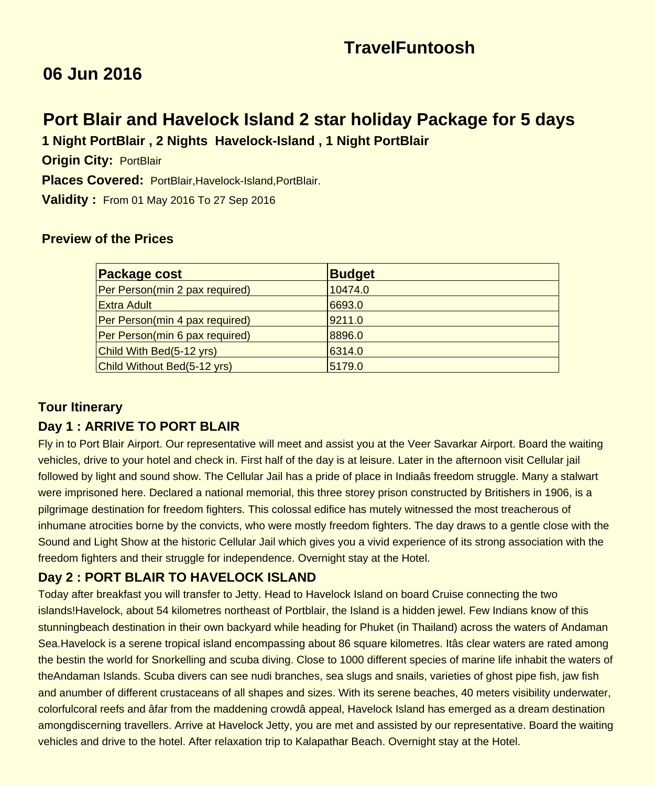# **TravelFuntoosh**

## **06 Jun 2016**

## **Port Blair and Havelock Island 2 star holiday Package for 5 days 1 Night PortBlair , 2 Nights Havelock-Island , 1 Night PortBlair**

 **Origin City:** PortBlair

 **Places Covered:** PortBlair,Havelock-Island,PortBlair.

 **Validity :** From 01 May 2016 To 27 Sep 2016

#### **Preview of the Prices**

| <b>Package cost</b>            | <b>Budget</b> |
|--------------------------------|---------------|
| Per Person(min 2 pax required) | 10474.0       |
| Extra Adult                    | 6693.0        |
| Per Person(min 4 pax required) | 9211.0        |
| Per Person(min 6 pax required) | 8896.0        |
| Child With Bed(5-12 yrs)       | 6314.0        |
| Child Without Bed(5-12 yrs)    | 5179.0        |

#### **Tour Itinerary**

#### **Day 1 : ARRIVE TO PORT BLAIR**

Fly in to Port Blair Airport. Our representative will meet and assist you at the Veer Savarkar Airport. Board the waiting vehicles, drive to your hotel and check in. First half of the day is at leisure. Later in the afternoon visit Cellular jail followed by light and sound show. The Cellular Jail has a pride of place in Indiaâs freedom struggle. Many a stalwart were imprisoned here. Declared a national memorial, this three storey prison constructed by Britishers in 1906, is a pilgrimage destination for freedom fighters. This colossal edifice has mutely witnessed the most treacherous of inhumane atrocities borne by the convicts, who were mostly freedom fighters. The day draws to a gentle close with the Sound and Light Show at the historic Cellular Jail which gives you a vivid experience of its strong association with the freedom fighters and their struggle for independence. Overnight stay at the Hotel.

## **Day 2 : PORT BLAIR TO HAVELOCK ISLAND**

Today after breakfast you will transfer to Jetty. Head to Havelock Island on board Cruise connecting the two islands!Havelock, about 54 kilometres northeast of Portblair, the Island is a hidden jewel. Few Indians know of this stunningbeach destination in their own backyard while heading for Phuket (in Thailand) across the waters of Andaman Sea.Havelock is a serene tropical island encompassing about 86 square kilometres. Itâs clear waters are rated among the bestin the world for Snorkelling and scuba diving. Close to 1000 different species of marine life inhabit the waters of theAndaman Islands. Scuba divers can see nudi branches, sea slugs and snails, varieties of ghost pipe fish, jaw fish and anumber of different crustaceans of all shapes and sizes. With its serene beaches, 40 meters visibility underwater, colorfulcoral reefs and âfar from the maddening crowdâ appeal, Havelock Island has emerged as a dream destination amongdiscerning travellers. Arrive at Havelock Jetty, you are met and assisted by our representative. Board the waiting vehicles and drive to the hotel. After relaxation trip to Kalapathar Beach. Overnight stay at the Hotel.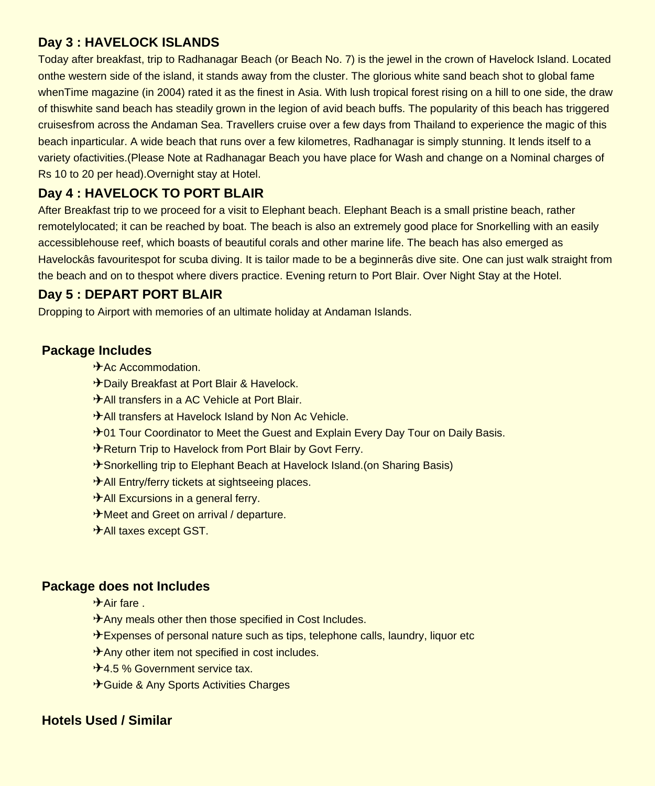#### **Day 3 : HAVELOCK ISLANDS**

Today after breakfast, trip to Radhanagar Beach (or Beach No. 7) is the jewel in the crown of Havelock Island. Located onthe western side of the island, it stands away from the cluster. The glorious white sand beach shot to global fame whenTime magazine (in 2004) rated it as the finest in Asia. With lush tropical forest rising on a hill to one side, the draw of thiswhite sand beach has steadily grown in the legion of avid beach buffs. The popularity of this beach has triggered cruisesfrom across the Andaman Sea. Travellers cruise over a few days from Thailand to experience the magic of this beach inparticular. A wide beach that runs over a few kilometres, Radhanagar is simply stunning. It lends itself to a variety ofactivities.(Please Note at Radhanagar Beach you have place for Wash and change on a Nominal charges of Rs 10 to 20 per head).Overnight stay at Hotel.

## **Day 4 : HAVELOCK TO PORT BLAIR**

After Breakfast trip to we proceed for a visit to Elephant beach. Elephant Beach is a small pristine beach, rather remotelylocated; it can be reached by boat. The beach is also an extremely good place for Snorkelling with an easily accessiblehouse reef, which boasts of beautiful corals and other marine life. The beach has also emerged as Havelockâs favouritespot for scuba diving. It is tailor made to be a beginnerâs dive site. One can just walk straight from the beach and on to thespot where divers practice. Evening return to Port Blair. Over Night Stay at the Hotel.

## **Day 5 : DEPART PORT BLAIR**

Dropping to Airport with memories of an ultimate holiday at Andaman Islands.

#### **Package Includes**

- $A$ c Accommodation.
- ✈Daily Breakfast at Port Blair & Havelock.
- ✈All transfers in a AC Vehicle at Port Blair.
- **<sup>★</sup>All transfers at Havelock Island by Non Ac Vehicle.**
- **<del><sup>€</sup></del>01 Tour Coordinator to Meet the Guest and Explain Every Day Tour on Daily Basis.**
- **<sup>★</sup>Return Trip to Havelock from Port Blair by Govt Ferry.**
- **<del><b>**</del> \*Snorkelling trip to Elephant Beach at Havelock Island.(on Sharing Basis)
- **<sup>★</sup>All Entry/ferry tickets at sightseeing places.**
- $\leq$  All Excursions in a general ferry.
- ✈Meet and Greet on arrival / departure.
- ✈All taxes except GST.

## **Package does not Includes**

- $\triangleq$ Air fare
- $\leq$  Any meals other then those specified in Cost Includes.
- $\triangle$  Expenses of personal nature such as tips, telephone calls, laundry, liquor etc
- $\mathcal{F}$ Any other item not specified in cost includes.
- <del></del> **≉4.5 % Government service tax.**
- **<del></del> Guide & Any Sports Activities Charges**

## **Hotels Used / Similar**